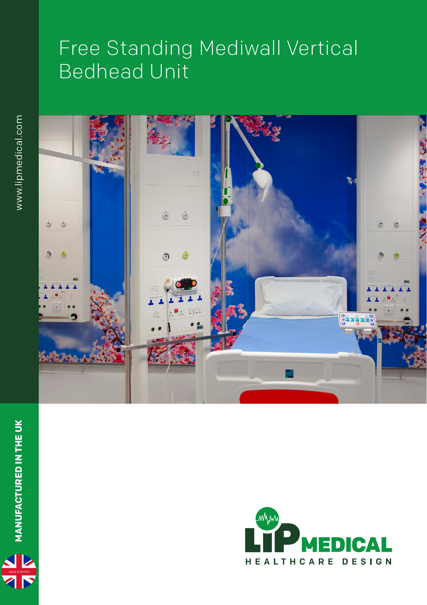## Free Standing Mediwall Vertical Bedhead Unit





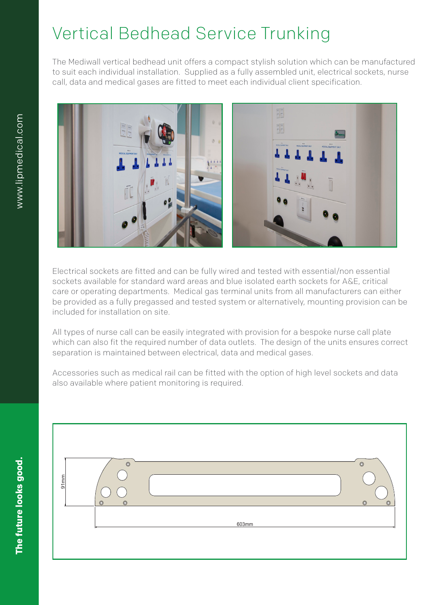## Vertical Bedhead Service Trunking

The Mediwall vertical bedhead unit offers a compact stylish solution which can be manufactured to suit each individual installation. Supplied as a fully assembled unit, electrical sockets, nurse call, data and medical gases are fitted to meet each individual client specification.



Electrical sockets are fitted and can be fully wired and tested with essential/non essential sockets available for standard ward areas and blue isolated earth sockets for A&E, critical care or operating departments. Medical gas terminal units from all manufacturers can either be provided as a fully pregassed and tested system or alternatively, mounting provision can be included for installation on site.

All types of nurse call can be easily integrated with provision for a bespoke nurse call plate which can also fit the required number of data outlets. The design of the units ensures correct separation is maintained between electrical, data and medical gases.

Accessories such as medical rail can be fitted with the option of high level sockets and data [1] Accessories such as medical rail can be fitted with the option of high level sockets and data also available where patient monitoring is required.